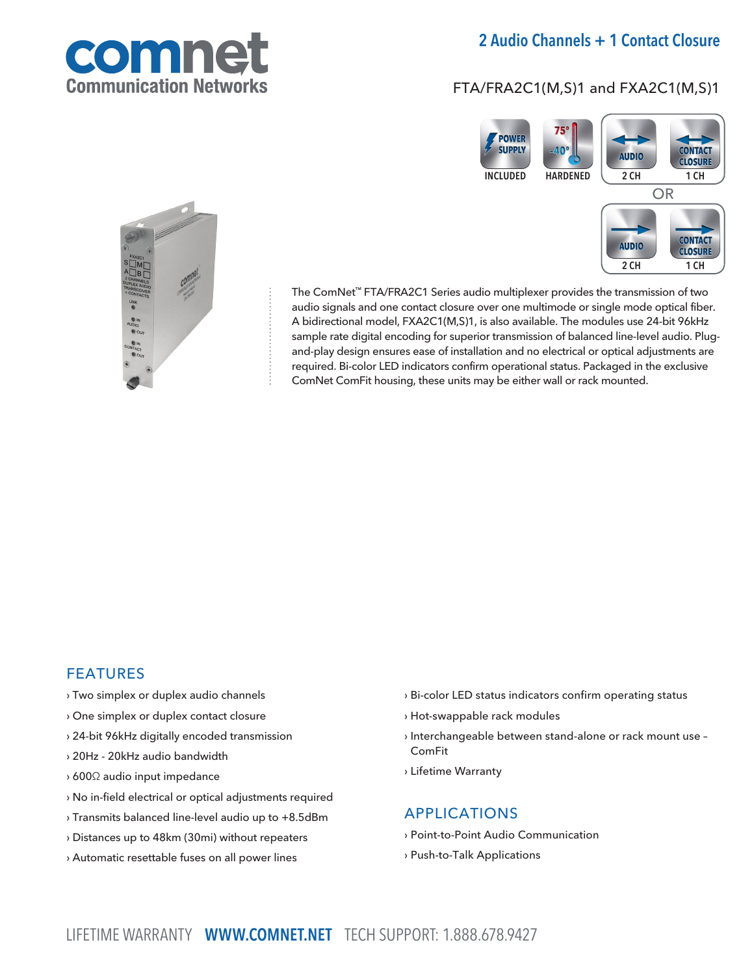

# 2 Audio Channels + 1 Contact Closure

# FTA/FRA2C1(M,S)1 and FXA2C1(M,S)1





The ComNet™ FTA/FRA2C1 Series audio multiplexer provides the transmission of two audio signals and one contact closure over one multimode or single mode optical fiber. A bidirectional model, FXA2C1(M,S)1, is also available. The modules use 24-bit 96kHz sample rate digital encoding for superior transmission of balanced line-level audio. Plugand-play design ensures ease of installation and no electrical or optical adjustments are required. Bi-color LED indicators confirm operational status. Packaged in the exclusive ComNet ComFit housing, these units may be either wall or rack mounted.

## FEATURES

- › Two simplex or duplex audio channels
- › One simplex or duplex contact closure
- › 24-bit 96kHz digitally encoded transmission
- › 20Hz 20kHz audio bandwidth
- › 600Ω audio input impedance
- › No in-field electrical or optical adjustments required
- › Transmits balanced line-level audio up to +8.5dBm
- › Distances up to 48km (30mi) without repeaters
- › Automatic resettable fuses on all power lines
- › Bi-color LED status indicators confirm operating status
- › Hot-swappable rack modules
- › Interchangeable between stand-alone or rack mount use ComFit
- › Lifetime Warranty

## APPLICATIONS

- › Point-to-Point Audio Communication
- › Push-to-Talk Applications